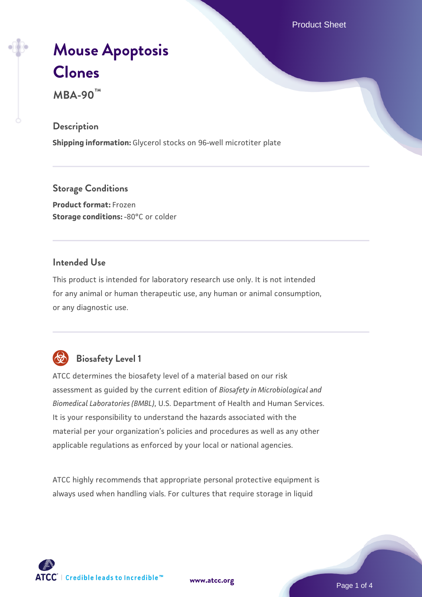Product Sheet

# **[Mouse Apoptosis](https://www.atcc.org/products/mba-90) [Clones](https://www.atcc.org/products/mba-90)**

**MBA-90™**

#### **Description**

**Shipping information:** Glycerol stocks on 96-well microtiter plate

**Storage Conditions Product format:** Frozen **Storage conditions: -80°C or colder** 

# **Intended Use**

This product is intended for laboratory research use only. It is not intended for any animal or human therapeutic use, any human or animal consumption, or any diagnostic use.

# **Biosafety Level 1**

ATCC determines the biosafety level of a material based on our risk assessment as guided by the current edition of *Biosafety in Microbiological and Biomedical Laboratories (BMBL)*, U.S. Department of Health and Human Services. It is your responsibility to understand the hazards associated with the material per your organization's policies and procedures as well as any other applicable regulations as enforced by your local or national agencies.

ATCC highly recommends that appropriate personal protective equipment is always used when handling vials. For cultures that require storage in liquid

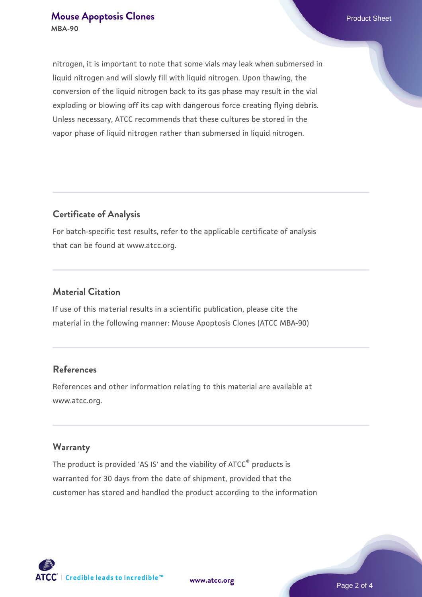#### **[Mouse Apoptosis Clones](https://www.atcc.org/products/mba-90) Product Sheet** Product Sheet **MBA-90**

nitrogen, it is important to note that some vials may leak when submersed in liquid nitrogen and will slowly fill with liquid nitrogen. Upon thawing, the conversion of the liquid nitrogen back to its gas phase may result in the vial exploding or blowing off its cap with dangerous force creating flying debris. Unless necessary, ATCC recommends that these cultures be stored in the vapor phase of liquid nitrogen rather than submersed in liquid nitrogen.

# **Certificate of Analysis**

For batch-specific test results, refer to the applicable certificate of analysis that can be found at www.atcc.org.

## **Material Citation**

If use of this material results in a scientific publication, please cite the material in the following manner: Mouse Apoptosis Clones (ATCC MBA-90)

# **References**

References and other information relating to this material are available at www.atcc.org.

### **Warranty**

The product is provided 'AS IS' and the viability of ATCC® products is warranted for 30 days from the date of shipment, provided that the customer has stored and handled the product according to the information

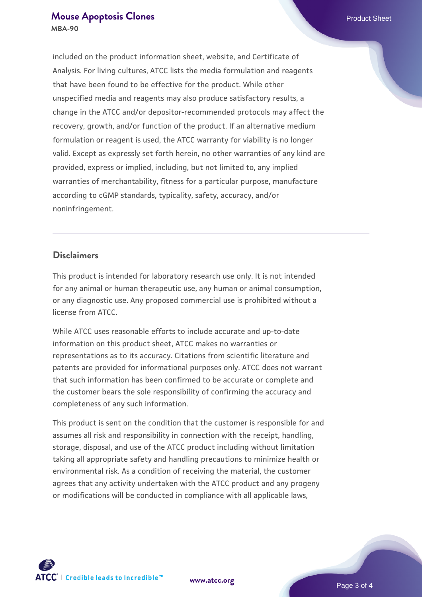#### **[Mouse Apoptosis Clones](https://www.atcc.org/products/mba-90) Product Sheet Product Sheet MBA-90**

included on the product information sheet, website, and Certificate of Analysis. For living cultures, ATCC lists the media formulation and reagents that have been found to be effective for the product. While other unspecified media and reagents may also produce satisfactory results, a change in the ATCC and/or depositor-recommended protocols may affect the recovery, growth, and/or function of the product. If an alternative medium formulation or reagent is used, the ATCC warranty for viability is no longer valid. Except as expressly set forth herein, no other warranties of any kind are provided, express or implied, including, but not limited to, any implied warranties of merchantability, fitness for a particular purpose, manufacture according to cGMP standards, typicality, safety, accuracy, and/or noninfringement.

#### **Disclaimers**

This product is intended for laboratory research use only. It is not intended for any animal or human therapeutic use, any human or animal consumption, or any diagnostic use. Any proposed commercial use is prohibited without a license from ATCC.

While ATCC uses reasonable efforts to include accurate and up-to-date information on this product sheet, ATCC makes no warranties or representations as to its accuracy. Citations from scientific literature and patents are provided for informational purposes only. ATCC does not warrant that such information has been confirmed to be accurate or complete and the customer bears the sole responsibility of confirming the accuracy and completeness of any such information.

This product is sent on the condition that the customer is responsible for and assumes all risk and responsibility in connection with the receipt, handling, storage, disposal, and use of the ATCC product including without limitation taking all appropriate safety and handling precautions to minimize health or environmental risk. As a condition of receiving the material, the customer agrees that any activity undertaken with the ATCC product and any progeny or modifications will be conducted in compliance with all applicable laws,